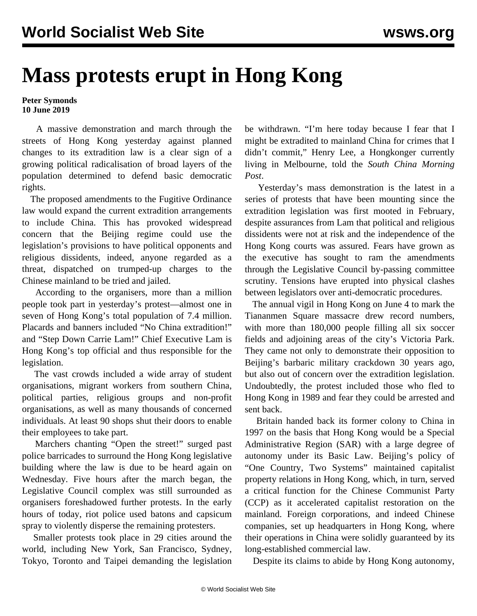## **Mass protests erupt in Hong Kong**

## **Peter Symonds 10 June 2019**

 A massive demonstration and march through the streets of Hong Kong yesterday against planned changes to its extradition law is a clear sign of a growing political radicalisation of broad layers of the population determined to defend basic democratic rights.

 The proposed amendments to the Fugitive Ordinance law would expand the current extradition arrangements to include China. This has provoked widespread concern that the Beijing regime could use the legislation's provisions to have political opponents and religious dissidents, indeed, anyone regarded as a threat, dispatched on trumped-up charges to the Chinese mainland to be tried and jailed.

 According to the organisers, more than a million people took part in yesterday's protest—almost one in seven of Hong Kong's total population of 7.4 million. Placards and banners included "No China extradition!" and "Step Down Carrie Lam!" Chief Executive Lam is Hong Kong's top official and thus responsible for the legislation.

 The vast crowds included a wide array of student organisations, migrant workers from southern China, political parties, religious groups and non-profit organisations, as well as many thousands of concerned individuals. At least 90 shops shut their doors to enable their employees to take part.

 Marchers chanting "Open the street!" surged past police barricades to surround the Hong Kong legislative building where the law is due to be heard again on Wednesday. Five hours after the march began, the Legislative Council complex was still surrounded as organisers foreshadowed further protests. In the early hours of today, riot police used batons and capsicum spray to violently disperse the remaining protesters.

 Smaller protests took place in 29 cities around the world, including New York, San Francisco, Sydney, Tokyo, Toronto and Taipei demanding the legislation be withdrawn. "I'm here today because I fear that I might be extradited to mainland China for crimes that I didn't commit," Henry Lee, a Hongkonger currently living in Melbourne, told the *South China Morning Post*.

 Yesterday's mass demonstration is the latest in a series of protests that have been mounting since the extradition legislation was first mooted in February, despite assurances from Lam that political and religious dissidents were not at risk and the independence of the Hong Kong courts was assured. Fears have grown as the executive has sought to ram the amendments through the Legislative Council by-passing committee scrutiny. Tensions have erupted into physical clashes between legislators over anti-democratic procedures.

 The annual vigil in Hong Kong on June 4 to mark the Tiananmen Square massacre drew record numbers, with more than 180,000 people filling all six soccer fields and adjoining areas of the city's Victoria Park. They came not only to demonstrate their opposition to Beijing's barbaric military crackdown 30 years ago, but also out of concern over the extradition legislation. Undoubtedly, the protest included those who fled to Hong Kong in 1989 and fear they could be arrested and sent back.

 Britain handed back its former colony to China in 1997 on the basis that Hong Kong would be a Special Administrative Region (SAR) with a large degree of autonomy under its Basic Law. Beijing's policy of "One Country, Two Systems" maintained capitalist property relations in Hong Kong, which, in turn, served a critical function for the Chinese Communist Party (CCP) as it accelerated capitalist restoration on the mainland. Foreign corporations, and indeed Chinese companies, set up headquarters in Hong Kong, where their operations in China were solidly guaranteed by its long-established commercial law.

Despite its claims to abide by Hong Kong autonomy,